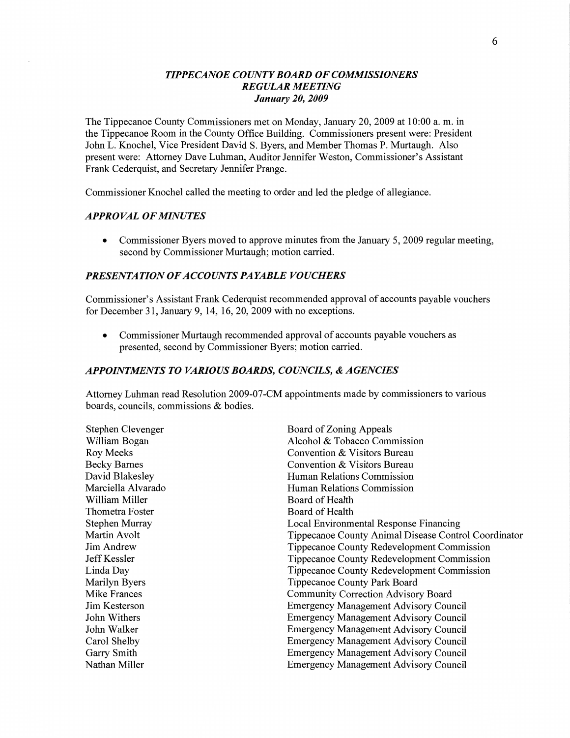### *TIPPE CANOE COUNTY BOARD* OF *COMMISSIONERS REGULAR MEETING January* 20, *2009*

The Tippecanoe County Commissioners met on Monday, January 20, 2009 at **10:00** a. m. in the Tippecanoe Room in the County Office Building. Commissioners present were: President John L. Knochel, Vice President David S. Byers, and Member Thomas P. Murtaugh. Also present were: Attorney Dave **Luhman,** Auditor Jennifer Weston, Commissioner's Assistant Frank Cederquist, and Secretary Jennifer Prange.

Commissioner Knochel called the meeting to order and led the pledge of **allegiance.** 

#### *APPROVAL* OF *MINUTES*

**0** Commissioner Byers **moved** to approve minutas from the January 5, 2009 regular meeting, second by Commissioner Murtaugh; motion carried.

### *PRESENTATION* OF *ACCOUNTS PAYABLE VOUCHERS*

Commissioner's Assistant Frank Cederquist recommended **approval** of accounts payable vouchers for December 31, January 9, 14, 16, 20, 2009 with no exceptions.

**0** Commissioner Murtaugh recommended approval of accounts payable vouchers as presented, second by Commissioner Byers; motion carried.

#### *APPOINTMENTS T 0 VARIOUS BOARDS, COUNCILS, & AGENCIES*

Attorney **Luhman** read Resolution 2009-07-CM appointments made by commissioners to various boards, councils, commissions & bodies.

| Stephen Clevenger    | Board of Zoning Appeals                              |
|----------------------|------------------------------------------------------|
| William Bogan        | Alcohol & Tobacco Commission                         |
| <b>Roy Meeks</b>     | Convention & Visitors Bureau                         |
| <b>Becky Barnes</b>  | Convention & Visitors Bureau                         |
| David Blakesley      | Human Relations Commission                           |
| Marciella Alvarado   | Human Relations Commission                           |
| William Miller       | Board of Health                                      |
| Thometra Foster      | Board of Health                                      |
| Stephen Murray       | Local Environmental Response Financing               |
| Martin Avolt         | Tippecanoe County Animal Disease Control Coordinator |
| <b>Jim Andrew</b>    | Tippecanoe County Redevelopment Commission           |
| Jeff Kessler         | Tippecanoe County Redevelopment Commission           |
| Linda Day            | Tippecanoe County Redevelopment Commission           |
| Marilyn Byers        | Tippecanoe County Park Board                         |
| <b>Mike Frances</b>  | Community Correction Advisory Board                  |
| <b>Jim Kesterson</b> | <b>Emergency Management Advisory Council</b>         |
| John Withers         | <b>Emergency Management Advisory Council</b>         |
| John Walker          | <b>Emergency Management Advisory Council</b>         |
| Carol Shelby         | <b>Emergency Management Advisory Council</b>         |
| Garry Smith          | <b>Emergency Management Advisory Council</b>         |
| Nathan Miller        | <b>Emergency Management Advisory Council</b>         |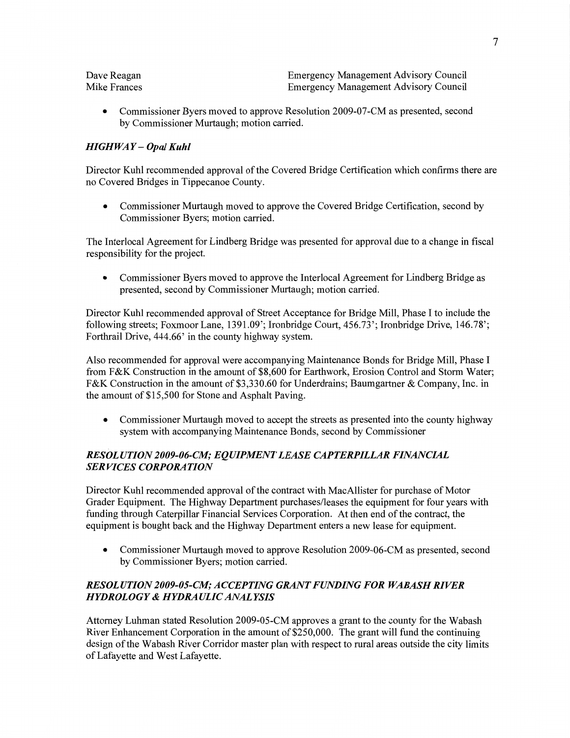| Dave Reagan  | <b>Emergency Management Advisory Council</b> |
|--------------|----------------------------------------------|
| Mike Frances | <b>Emergency Management Advisory Council</b> |

**0** Commissioner Byers **moved** to approve Resolution 2009-07-CM as presented, second by Commissioner Murtaugh; motion carried.

# *HIGHWAY* — *Opal Kuhl*

Director Kuhl recommended **approval** of the Covered Bridge Certification which **confirms** there are no Covered Bridges in Tippecanoe County.

• Commissioner Murtaugh moved to approve the Covered Bridge Certification, second by Commissioner Byers; motion carried.

The Interlocal Agreement for Lindberg Bridge was presented for approval due to **a** change in fiscal responsibility for the project.

**0** Commissioner Byers moved to approve the Interlocal Agreement for Lindberg Bridge as presented, second by Commissioner Murtaugh; motion carried.

Director Kuhl recommended approval of Street Acceptance for Bridge Mill, Phase I to include the following streets; Foxmoor Lane, 1391 .09'; Ironbridge Court, 456.73'; Ironbridge Drive, **146.78';**  Forthrail Drive, 444.66' in the county highway system.

Also recommended for approval were accompanying Maintenance Bonds for Bridge Mill, Phase **I**  from F&K Construction in the amount of \$8,600 for Earthwork, Erosion Control and Storm Water; F&K Construction in the amount of **\$3,330.60** for Underdrains; Baumgartner & Company, **Inc.** in the amount of \$15,500 for Stone and Asphalt Paving.

**0** Commissioner Murtaugh moved to accept the streets as presented **into** the county highway system with accompanying Maintenance Bonds, second by Commissioner

### *RESOL UTION 2009—06-C1W; EQUIPMENT LEASE CAPT ERPILLAR FINANCIAL SERVICES CORPORATION*

Director Kuhl recommended approval of the contract with MacAllister for purchase of **Motor**  Grader Equipment. The Highway **Department** purchases/leases the equipment for four years with funding through Caterpillar Financial Services Corporation. At then end of the contract, the equipment is bought back and the Highway Department enters **a** new lease for equipment.

• Commissioner Murtaugh moved to approve Resolution 2009-06-CM as presented, second by Commissioner Byers; **motion** carried.

# *RESOLUTION 2009-05-CZII; ACCEPTING GRANT F (flVDING* FOR *WABASH RIVER HYDROLOGY & HYDRA ULIC ANAL YSIS*

Attorney **Luhman** stated Resolution 2009-05-CM approves a grant to the county for the Wabash River Enhancement Corporation in the amount of \$250,000. The grant will **fund** the continuing design of the Wabash River Corridor master plan with respect to rural areas **outside** the city limits of Lafayette and West Lafayette.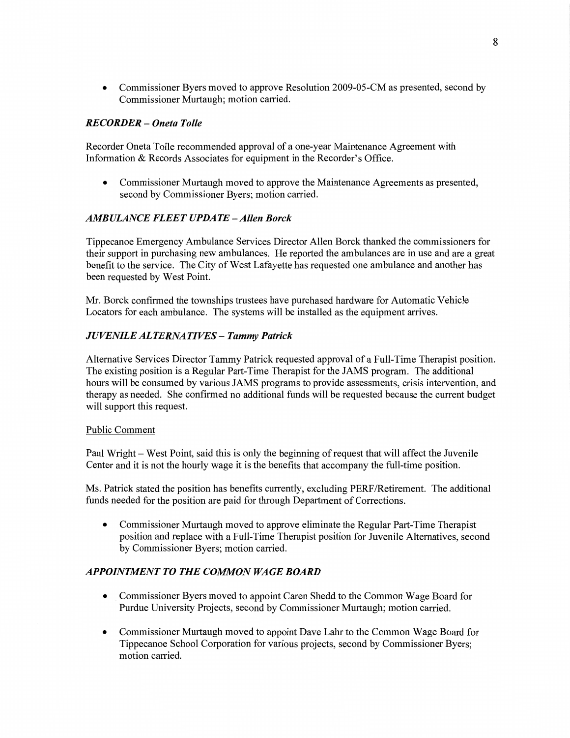**0** Commissioner Byers moved to approve Resolution 2009-05-CM as presented, second by Commissioner Murtaugh; **motion** carried.

# *RECORDER* — *Oneta Tolle*

Recorder Oneta Tolle recommended approval of a one-year Maintenance **Agreement** with **Information** & Records Associates for equipment in the Recorder's Office.

**0** Commissioner Murtaugh **moved** to approve the Maintenance Agreements as presented, second by Commissioner Byers; motion carried.

### *AMBULANCE FLEET UPDATE —Allen Borck*

Tippecanoe Emergency Ambulance Services Director Allen Borck **thanked** the commissioners for their support in purchasing new ambulances. He reported the ambulances are in use and are a great benefit to the service. The City of West Lafayette has requested one ambulance and another has **been** requested by West Point.

Mr. Borck confirmed the townships trustees have purchased hardware for Automatic Vehicle Locators for each ambulance. The systems will be installed as the equipment **arrives.** 

#### *JUVENILE* ALT *ERNA TIVES* **—** *Tammy Patrick*

Alternative Services Director Tammy Patrick requested approval of a Full-Time Therapist position. The existing position is **a** Regular Part-Time Therapist for the JAMS program. The additional hours will be consumed by various JAMS programs to provide assessments, crisis intervention, and therapy as needed. She confirmed no additional funds will be requested because the current budget will support this request.

#### Public Comment

Paul Wright **—** West Point, said this is only the beginning of request that will affect the Juvenile Center and it is not the hourly wage it is the benefits that accompany the full-time **position.** 

Ms. Patrick stated the position has benefits currently, excluding PERF/Retirement. The **additional**  funds needed for the position are paid for through Department of **Corrections.** 

**0** Commissioner Murtaugh moved to approve eliminate the Regular Part-Time Therapist position and replace with a Full-Time Therapist position for Juvenile Alternatives, second by Commissioner Byers; **motion** carried.

# *APPOHVIMENT* TO THE *COMMON WAGE BOARD*

- **0** Commissioner Byers moved to appoint Caren **Shedd** to the **Common** Wage Board for Purdue University Projects, second by Commissioner Murtaugh; motion carried.
- **0** Commissioner Murtaugh moved to appoint Dave Lahr to the Common Wage Board for Tippecanoe School Corporation for various projects, second by Commissioner Byers; motion carried.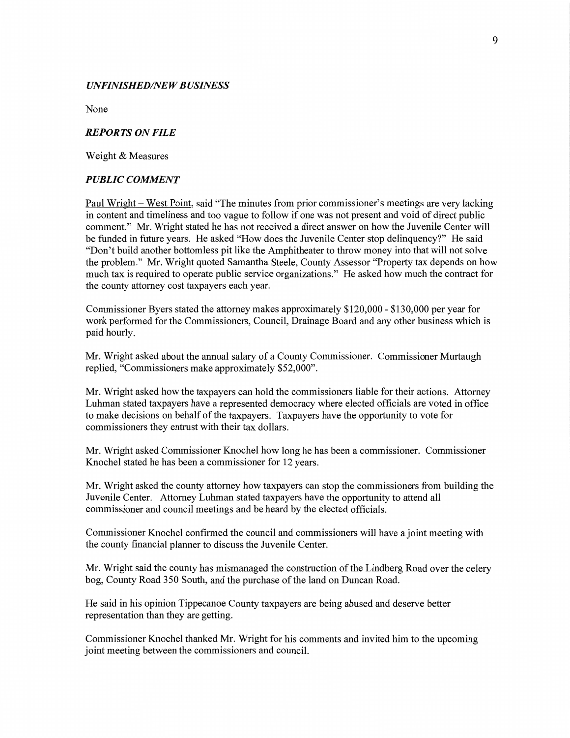#### **UNFINISHED/NEW BUSINESS**

**None** 

#### *REPORTS* ON *FILE*

Weight & Measures

#### *PUBLIC COMMENT*

Paul Wright — West Point, said **"The** minutes from prior commissioner's meetings are very lacking in content and timeliness and too vague to follow if one was not present and void of direct public comment." Mr. Wright stated he has not received a direct answer on how the Juvenile Center will be funded in future years. He asked "How does the Juvenile Center stop delinquency?" He said "Don't build another bottomless pit like the Amphitheater to throw money into that will not solve the problem." Mr. Wright quoted Samantha Steele, County Assessor "Property tax depends on how much tax is required to operate public service organizations." He asked how much the contract for the county attorney cost taxpayers each year.

Commissioner Byers stated the attorney makes approximately \$120,000 *-* \$130,000 per year for work **performed** for the Commissioners, Council, Drainage Board and any other business which is paid hourly.

Mr. Wright asked about the annual salary of a County Commissioner. Commissioner Murtaugh replied, "Commissioners make approximately \$52,000".

Mr. Wright asked how the taxpayers can hold the commissioners liable for their **actions.** Attorney **Luhman** stated taxpayers have a represented democracy where elected officials are voted in office to make decisions on behalf of the taxpayers. Taxpayers have the opportunity to **vote** for commissioners they entrust with their tax dollars.

Mr. Wright asked Commissioner Knochel how long he has been **a** commissioner. Commissioner Knochel stated he has been a commissioner for 12 years.

Mr. Wright asked the county attorney how taxpayers can stop the commissioners from building the Juvenile Center. Attorney Luhman stated taxpayers **have** the opportunity to attend all commissioner and council meetings and be heard by the elected officials.

Commissioner Knochel confirmed the council and commissioners will have a joint meeting with the county financial planner to discuss the Juvenile Center.

Mr. Wright said the county has mismanaged the construction of the Lindberg Road over the celery bog, County Road 350 South, and the purchase of the land on Duncan Road.

He said in his opinion Tippecanoe County taxpayers are being abused and deserve better representation than they are getting.

Commissioner Knochel thanked Mr. Wright for his comments and invited him to the upcoming joint meeting between the commissioners and council.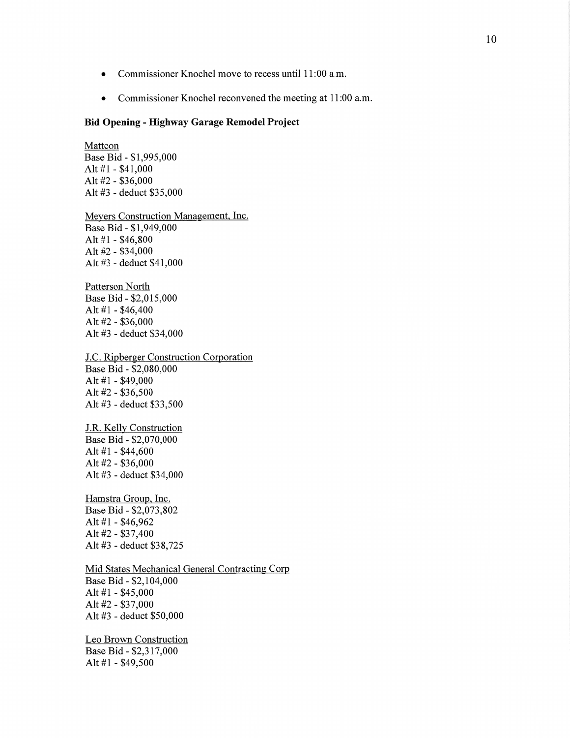- **0** Commissioner Knochel move to recess until **11:00** am.
- Commissioner Knochel reconvened the meeting at 11:00 a.m.

#### Bid **Opening - Highway Garage Remodel Project**

Mattcon Base Bid *-* \$1,995,000 Alt #1 - \$41,000 Alt #2 **-** \$36,000 Alt #3 *-* deduct \$35,000

Meyers Construction Management, Inc. Base Bid *-* \$1,949,000 Alt #1 *-* \$46,800 Alt #2 *-* \$34,000 Alt #3 *-* deduct \$41,000

Patterson North Base Bid *-* \$2,015,000 Alt #1 *-* \$46,400 Alt #2 *-* \$36,000 Alt #3 *-* deduct \$34,000

J.C. Ripberger Construction Corporation Base Bid *-* \$2,080,000 Alt #1 *-* \$49,000 Alt #2 *-* \$36,500 Alt #3 *-* deduct \$33,500

J.R. Kelly Construction Base Bid *-* \$2,070,000 Alt #1 *-* \$44,600 Alt #2 *-* \$36,000 Alt #3 **-** deduct \$34,000

Hamstra Group, **Inc.**  Base Bid *-* \$2,073,802 Alt #1 *-* \$46,962 Alt #2 *-* \$37,400 Alt #3 **-** deduct \$3 8,725

Mid States Mechanical General Contracting Corp Base Bid *-* \$2,104,000 Alt #1 *-* \$45,000 Alt #2 *-* \$37,000 Alt #3 **-** deduct \$50,000

Leo Brown Construction Base Bid *-* \$2,317,000 Alt #1 *-* \$49,500